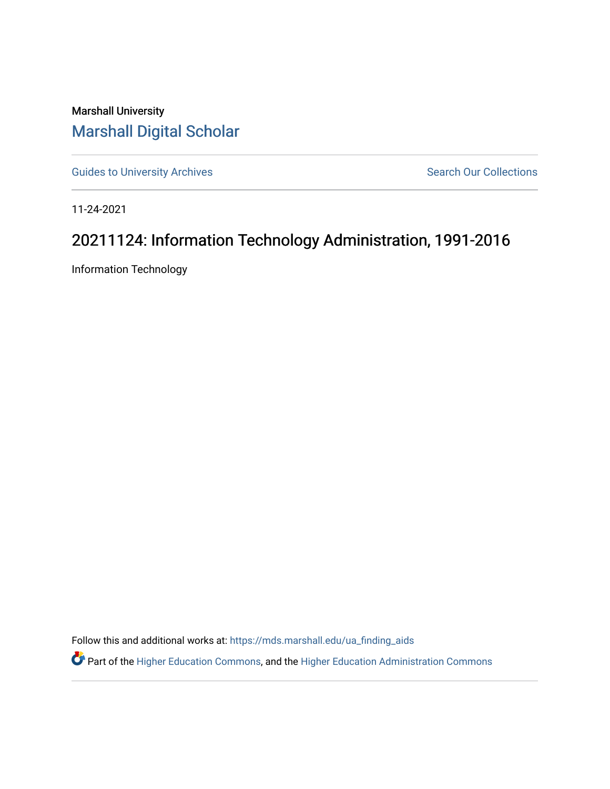Marshall University [Marshall Digital Scholar](https://mds.marshall.edu/)

[Guides to University Archives](https://mds.marshall.edu/ua_finding_aids) **Search Our Collections** Search Our Collections

11-24-2021

## 20211124: Information Technology Administration, 1991-2016

Information Technology

Follow this and additional works at: [https://mds.marshall.edu/ua\\_finding\\_aids](https://mds.marshall.edu/ua_finding_aids?utm_source=mds.marshall.edu%2Fua_finding_aids%2F68&utm_medium=PDF&utm_campaign=PDFCoverPages) 

Part of the [Higher Education Commons,](http://network.bepress.com/hgg/discipline/1245?utm_source=mds.marshall.edu%2Fua_finding_aids%2F68&utm_medium=PDF&utm_campaign=PDFCoverPages) and the [Higher Education Administration Commons](http://network.bepress.com/hgg/discipline/791?utm_source=mds.marshall.edu%2Fua_finding_aids%2F68&utm_medium=PDF&utm_campaign=PDFCoverPages)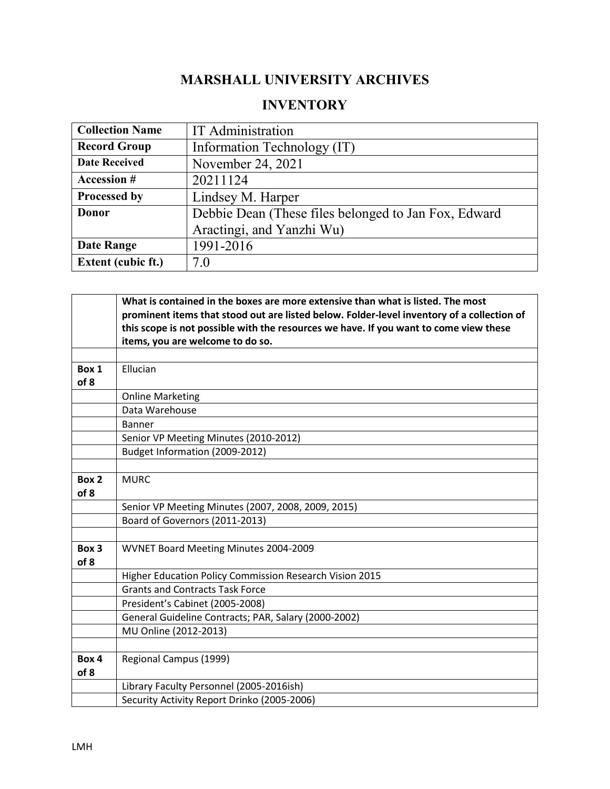## **MARSHALL UNIVERSITY ARCHIVES**

## **INVENTORY**

| <b>Collection Name</b>    | <b>IT</b> Administration                             |
|---------------------------|------------------------------------------------------|
| <b>Record Group</b>       | Information Technology (IT)                          |
| <b>Date Received</b>      | November 24, 2021                                    |
| <b>Accession #</b>        | 20211124                                             |
| Processed by              | Lindsey M. Harper                                    |
| Donor                     | Debbie Dean (These files belonged to Jan Fox, Edward |
|                           | Aractingi, and Yanzhi Wu)                            |
| <b>Date Range</b>         | 1991-2016                                            |
| <b>Extent (cubic ft.)</b> | 7.0                                                  |

|       | What is contained in the boxes are more extensive than what is listed. The most            |
|-------|--------------------------------------------------------------------------------------------|
|       | prominent items that stood out are listed below. Folder-level inventory of a collection of |
|       | this scope is not possible with the resources we have. If you want to come view these      |
|       | items, you are welcome to do so.                                                           |
|       |                                                                                            |
| Box 1 | Ellucian                                                                                   |
| of 8  |                                                                                            |
|       | <b>Online Marketing</b>                                                                    |
|       | Data Warehouse                                                                             |
|       | Banner                                                                                     |
|       | Senior VP Meeting Minutes (2010-2012)                                                      |
|       | Budget Information (2009-2012)                                                             |
|       |                                                                                            |
| Box 2 | <b>MURC</b>                                                                                |
| of 8  |                                                                                            |
|       | Senior VP Meeting Minutes (2007, 2008, 2009, 2015)                                         |
|       | Board of Governors (2011-2013)                                                             |
|       |                                                                                            |
| Box 3 | WVNET Board Meeting Minutes 2004-2009                                                      |
| of 8  |                                                                                            |
|       | Higher Education Policy Commission Research Vision 2015                                    |
|       | <b>Grants and Contracts Task Force</b>                                                     |
|       | President's Cabinet (2005-2008)                                                            |
|       | General Guideline Contracts; PAR, Salary (2000-2002)                                       |
|       | MU Online (2012-2013)                                                                      |
|       |                                                                                            |
| Box 4 | Regional Campus (1999)                                                                     |
| of 8  |                                                                                            |
|       | Library Faculty Personnel (2005-2016ish)                                                   |
|       | Security Activity Report Drinko (2005-2006)                                                |